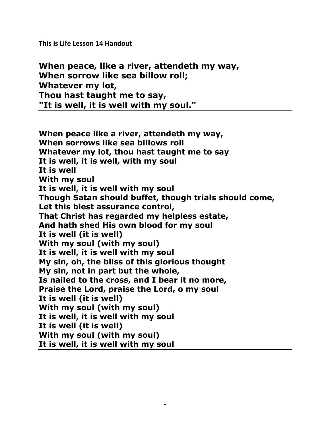**This is Life Lesson 14 Handout** 

**When peace, like a river, attendeth my way, When sorrow like sea billow roll; Whatever my lot, Thou hast taught me to say, "It is well, it is well with my soul."** 

**When peace like a river, attendeth my way, When sorrows like sea billows roll Whatever my lot, thou hast taught me to say It is well, it is well, with my soul It is well With my soul It is well, it is well with my soul Though Satan should buffet, though trials should come, Let this blest assurance control, That Christ has regarded my helpless estate, And hath shed His own blood for my soul It is well (it is well) With my soul (with my soul) It is well, it is well with my soul My sin, oh, the bliss of this glorious thought My sin, not in part but the whole, Is nailed to the cross, and I bear it no more, Praise the Lord, praise the Lord, o my soul It is well (it is well) With my soul (with my soul) It is well, it is well with my soul It is well (it is well) With my soul (with my soul) It is well, it is well with my soul**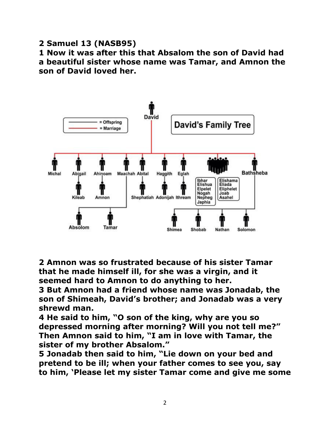# **2 Samuel 13 (NASB95)**

**1 Now it was after this that Absalom the son of David had a beautiful sister whose name was Tamar, and Amnon the son of David loved her.** 



**2 Amnon was so frustrated because of his sister Tamar that he made himself ill, for she was a virgin, and it seemed hard to Amnon to do anything to her.** 

**3 But Amnon had a friend whose name was Jonadab, the son of Shimeah, David's brother; and Jonadab was a very shrewd man.** 

**4 He said to him, "O son of the king, why are you so depressed morning after morning? Will you not tell me?" Then Amnon said to him, "I am in love with Tamar, the sister of my brother Absalom."** 

**5 Jonadab then said to him, "Lie down on your bed and pretend to be ill; when your father comes to see you, say to him, 'Please let my sister Tamar come and give me some**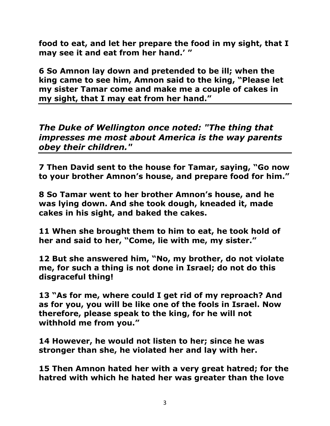**food to eat, and let her prepare the food in my sight, that I may see it and eat from her hand.' "** 

**6 So Amnon lay down and pretended to be ill; when the king came to see him, Amnon said to the king, "Please let my sister Tamar come and make me a couple of cakes in my sight, that I may eat from her hand."**

*The Duke of Wellington once noted: "The thing that impresses me most about America is the way parents obey their children."* 

**7 Then David sent to the house for Tamar, saying, "Go now to your brother Amnon's house, and prepare food for him."** 

**8 So Tamar went to her brother Amnon's house, and he was lying down. And she took dough, kneaded it, made cakes in his sight, and baked the cakes.** 

**11 When she brought them to him to eat, he took hold of her and said to her, "Come, lie with me, my sister."** 

**12 But she answered him, "No, my brother, do not violate me, for such a thing is not done in Israel; do not do this disgraceful thing!** 

**13 "As for me, where could I get rid of my reproach? And as for you, you will be like one of the fools in Israel. Now therefore, please speak to the king, for he will not withhold me from you."** 

**14 However, he would not listen to her; since he was stronger than she, he violated her and lay with her.** 

**15 Then Amnon hated her with a very great hatred; for the hatred with which he hated her was greater than the love**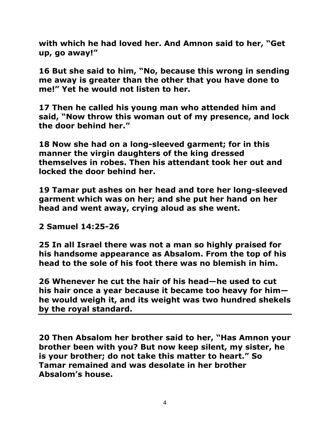**with which he had loved her. And Amnon said to her, "Get up, go away!"** 

**16 But she said to him, "No, because this wrong in sending me away is greater than the other that you have done to me!" Yet he would not listen to her.** 

**17 Then he called his young man who attended him and said, "Now throw this woman out of my presence, and lock the door behind her."** 

**18 Now she had on a long-sleeved garment; for in this manner the virgin daughters of the king dressed themselves in robes. Then his attendant took her out and locked the door behind her.** 

**19 Tamar put ashes on her head and tore her long-sleeved garment which was on her; and she put her hand on her head and went away, crying aloud as she went.** 

**2 Samuel 14:25-26**

**25 In all Israel there was not a man so highly praised for his handsome appearance as Absalom. From the top of his head to the sole of his foot there was no blemish in him.** 

**26 Whenever he cut the hair of his head—he used to cut his hair once a year because it became too heavy for him he would weigh it, and its weight was two hundred shekels by the royal standard.** 

**20 Then Absalom her brother said to her, "Has Amnon your brother been with you? But now keep silent, my sister, he is your brother; do not take this matter to heart." So Tamar remained and was desolate in her brother Absalom's house.**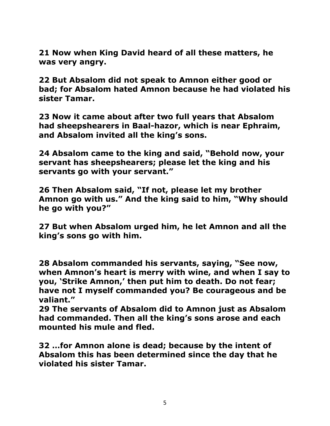**21 Now when King David heard of all these matters, he was very angry.** 

**22 But Absalom did not speak to Amnon either good or bad; for Absalom hated Amnon because he had violated his sister Tamar.** 

**23 Now it came about after two full years that Absalom had sheepshearers in Baal-hazor, which is near Ephraim, and Absalom invited all the king's sons.** 

**24 Absalom came to the king and said, "Behold now, your servant has sheepshearers; please let the king and his servants go with your servant."**

**26 Then Absalom said, "If not, please let my brother Amnon go with us." And the king said to him, "Why should he go with you?"** 

**27 But when Absalom urged him, he let Amnon and all the king's sons go with him.**

**28 Absalom commanded his servants, saying, "See now, when Amnon's heart is merry with wine, and when I say to you, 'Strike Amnon,' then put him to death. Do not fear; have not I myself commanded you? Be courageous and be valiant."** 

**29 The servants of Absalom did to Amnon just as Absalom had commanded. Then all the king's sons arose and each mounted his mule and fled.** 

**32 …for Amnon alone is dead; because by the intent of Absalom this has been determined since the day that he violated his sister Tamar.**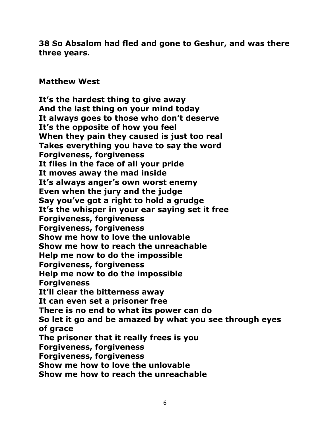## **38 So Absalom had fled and gone to Geshur, and was there three years.**

#### **Matthew West**

**It's the hardest thing to give away And the last thing on your mind today It always goes to those who don't deserve It's the opposite of how you feel When they pain they caused is just too real Takes everything you have to say the word Forgiveness, forgiveness It flies in the face of all your pride It moves away the mad inside It's always anger's own worst enemy Even when the jury and the judge Say you've got a right to hold a grudge It's the whisper in your ear saying set it free Forgiveness, forgiveness Forgiveness, forgiveness Show me how to love the unlovable Show me how to reach the unreachable Help me now to do the impossible Forgiveness, forgiveness Help me now to do the impossible Forgiveness It'll clear the bitterness away It can even set a prisoner free There is no end to what its power can do So let it go and be amazed by what you see through eyes of grace The prisoner that it really frees is you Forgiveness, forgiveness Forgiveness, forgiveness Show me how to love the unlovable Show me how to reach the unreachable**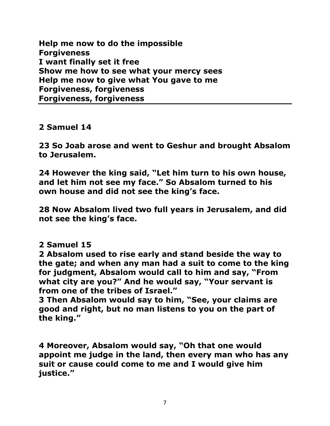**Help me now to do the impossible Forgiveness I want finally set it free Show me how to see what your mercy sees Help me now to give what You gave to me Forgiveness, forgiveness Forgiveness, forgiveness** 

**2 Samuel 14** 

**23 So Joab arose and went to Geshur and brought Absalom to Jerusalem.** 

**24 However the king said, "Let him turn to his own house, and let him not see my face." So Absalom turned to his own house and did not see the king's face.** 

**28 Now Absalom lived two full years in Jerusalem, and did not see the king's face.** 

# **2 Samuel 15**

**2 Absalom used to rise early and stand beside the way to the gate; and when any man had a suit to come to the king for judgment, Absalom would call to him and say, "From what city are you?" And he would say, "Your servant is from one of the tribes of Israel."** 

**3 Then Absalom would say to him, "See, your claims are good and right, but no man listens to you on the part of the king."** 

**4 Moreover, Absalom would say, "Oh that one would appoint me judge in the land, then every man who has any suit or cause could come to me and I would give him justice."**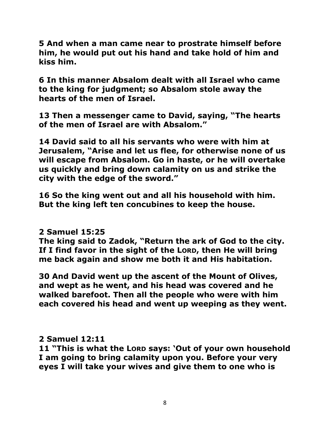**5 And when a man came near to prostrate himself before him, he would put out his hand and take hold of him and kiss him.** 

**6 In this manner Absalom dealt with all Israel who came to the king for judgment; so Absalom stole away the hearts of the men of Israel.** 

**13 Then a messenger came to David, saying, "The hearts of the men of Israel are with Absalom."** 

**14 David said to all his servants who were with him at Jerusalem, "Arise and let us flee, for otherwise none of us will escape from Absalom. Go in haste, or he will overtake us quickly and bring down calamity on us and strike the city with the edge of the sword."** 

**16 So the king went out and all his household with him. But the king left ten concubines to keep the house.** 

# **2 Samuel 15:25**

**The king said to Zadok, "Return the ark of God to the city. If I find favor in the sight of the LORD, then He will bring me back again and show me both it and His habitation.** 

**30 And David went up the ascent of the Mount of Olives, and wept as he went, and his head was covered and he walked barefoot. Then all the people who were with him each covered his head and went up weeping as they went.** 

#### **2 Samuel 12:11**

**11 "This is what the LORD says: 'Out of your own household I am going to bring calamity upon you. Before your very eyes I will take your wives and give them to one who is**